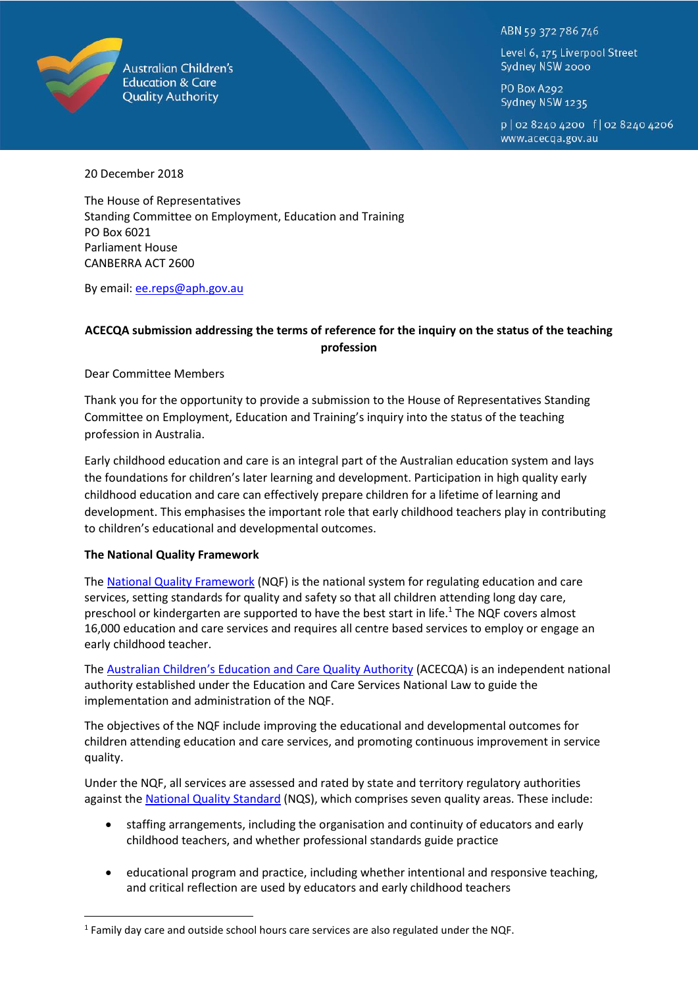

**Australian Children's Education & Care Quality Authority** 

ABN 59 372 786 746

Level 6, 175 Liverpool Street Sydney NSW 2000

PO Box A292 Sydney NSW 1235

p | 02 8240 4200 f | 02 8240 4206 www.acecga.gov.au

20 December 2018

The House of Representatives Standing Committee on Employment, Education and Training PO Box 6021 Parliament House CANBERRA ACT 2600

By email: [ee.reps@aph.gov.au](mailto:ee.reps@aph.gov.au)

## **ACECQA submission addressing the terms of reference for the inquiry on the status of the teaching profession**

Dear Committee Members

Thank you for the opportunity to provide a submission to the House of Representatives Standing Committee on Employment, Education and Training's inquiry into the status of the teaching profession in Australia.

Early childhood education and care is an integral part of the Australian education system and lays the foundations for children's later learning and development. Participation in high quality early childhood education and care can effectively prepare children for a lifetime of learning and development. This emphasises the important role that early childhood teachers play in contributing to children's educational and developmental outcomes.

#### **The National Quality Framework**

 $\overline{a}$ 

The [National Quality Framework](https://www.acecqa.gov.au/nqf/about) (NQF) is the national system for regulating education and care services, setting standards for quality and safety so that all children attending long day care, preschool or kindergarten are supported to have the best start in life.<sup>1</sup> The NQF covers almost 16,000 education and care services and requires all centre based services to employ or engage an early childhood teacher.

The [Australian Children's Education and Care Quality Authority](https://www.acecqa.gov.au/) (ACECQA) is an independent national authority established under the Education and Care Services National Law to guide the implementation and administration of the NQF.

The objectives of the NQF include improving the educational and developmental outcomes for children attending education and care services, and promoting continuous improvement in service quality.

Under the NQF, all services are assessed and rated by state and territory regulatory authorities against the [National Quality Standard](https://www.acecqa.gov.au/nqf/national-quality-standard) (NQS), which comprises seven quality areas. These include:

- staffing arrangements, including the organisation and continuity of educators and early childhood teachers, and whether professional standards guide practice
- educational program and practice, including whether intentional and responsive teaching, and critical reflection are used by educators and early childhood teachers

 $<sup>1</sup>$  Family day care and outside school hours care services are also regulated under the NQF.</sup>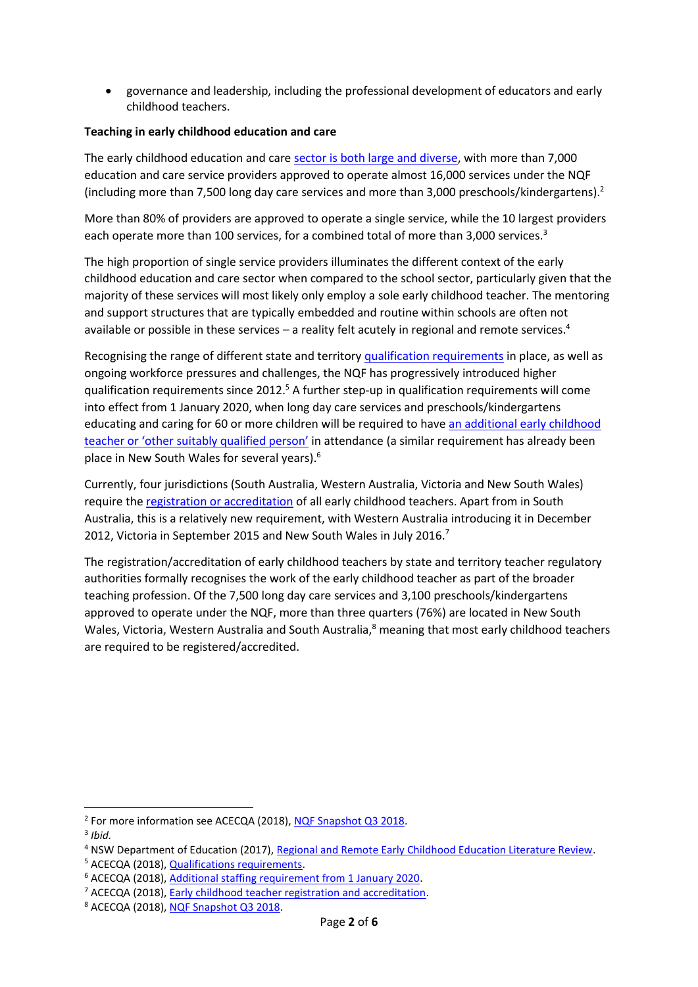governance and leadership, including the professional development of educators and early childhood teachers.

#### **Teaching in early childhood education and care**

The early childhood education and care [sector is both large and diverse,](https://www.acecqa.gov.au/nqf/snapshots) with more than 7,000 education and care service providers approved to operate almost 16,000 services under the NQF (including more than 7,500 long day care services and more than 3,000 preschools/kindergartens).<sup>2</sup>

More than 80% of providers are approved to operate a single service, while the 10 largest providers each operate more than 100 services, for a combined total of more than 3,000 services.<sup>3</sup>

The high proportion of single service providers illuminates the different context of the early childhood education and care sector when compared to the school sector, particularly given that the majority of these services will most likely only employ a sole early childhood teacher. The mentoring and support structures that are typically embedded and routine within schools are often not available or possible in these services – a reality felt acutely in regional and remote services.<sup>4</sup>

Recognising the range of different state and territory [qualification requirements](https://www.acecqa.gov.au/qualification-requirements) in place, as well as ongoing workforce pressures and challenges, the NQF has progressively introduced higher qualification requirements since 2012.<sup>5</sup> A further step-up in qualification requirements will come into effect from 1 January 2020, when long day care services and preschools/kindergartens educating and caring for 60 or more children will be required to hav[e an additional early childhood](https://www.acecqa.gov.au/qualification-requirements/additional-staffing-requirement-1-january-2020)  [teacher or 'other suitably qualified person'](https://www.acecqa.gov.au/qualification-requirements/additional-staffing-requirement-1-january-2020) in attendance (a similar requirement has already been place in New South Wales for several years). 6

Currently, four jurisdictions (South Australia, Western Australia, Victoria and New South Wales) require th[e registration or accreditation](https://www.acecqa.gov.au/qualifications/early-childhood-teacher-registration-and-accreditation) of all early childhood teachers. Apart from in South Australia, this is a relatively new requirement, with Western Australia introducing it in December 2012, Victoria in September 2015 and New South Wales in July 2016.<sup>7</sup>

The registration/accreditation of early childhood teachers by state and territory teacher regulatory authorities formally recognises the work of the early childhood teacher as part of the broader teaching profession. Of the 7,500 long day care services and 3,100 preschools/kindergartens approved to operate under the NQF, more than three quarters (76%) are located in New South Wales, Victoria, Western Australia and South Australia,<sup>8</sup> meaning that most early childhood teachers are required to be registered/accredited.

1

<sup>&</sup>lt;sup>2</sup> For more information see ACECQA (2018), [NQF Snapshot Q3 2018.](https://www.acecqa.gov.au/sites/default/files/2018-11/NQF_Snapshot_Q3_2018_0.pdf)

<sup>3</sup> *Ibid.*

<sup>4</sup> NSW Department of Education (2017), [Regional and Remote Early Childhood Education Literature Review.](https://education.nsw.gov.au/media/ecec/pdf-documents/2017/Regional-and-Remote_Literature-Review.pdf)

<sup>&</sup>lt;sup>5</sup> ACECQA (2018), **Qualifications requirements**.

<sup>6</sup> ACECQA (2018), [Additional staffing requirement from 1 January 2020.](https://www.acecqa.gov.au/qualification-requirements/additional-staffing-requirement-1-january-2020)

<sup>7</sup> ACECQA (2018), [Early childhood teacher registration and accreditation.](https://www.acecqa.gov.au/qualifications/early-childhood-teacher-registration-and-accreditation)

<sup>8</sup> ACECQA (2018), [NQF Snapshot Q3 2018.](https://www.acecqa.gov.au/sites/default/files/2018-11/NQF_Snapshot_Q3_2018_0.pdf)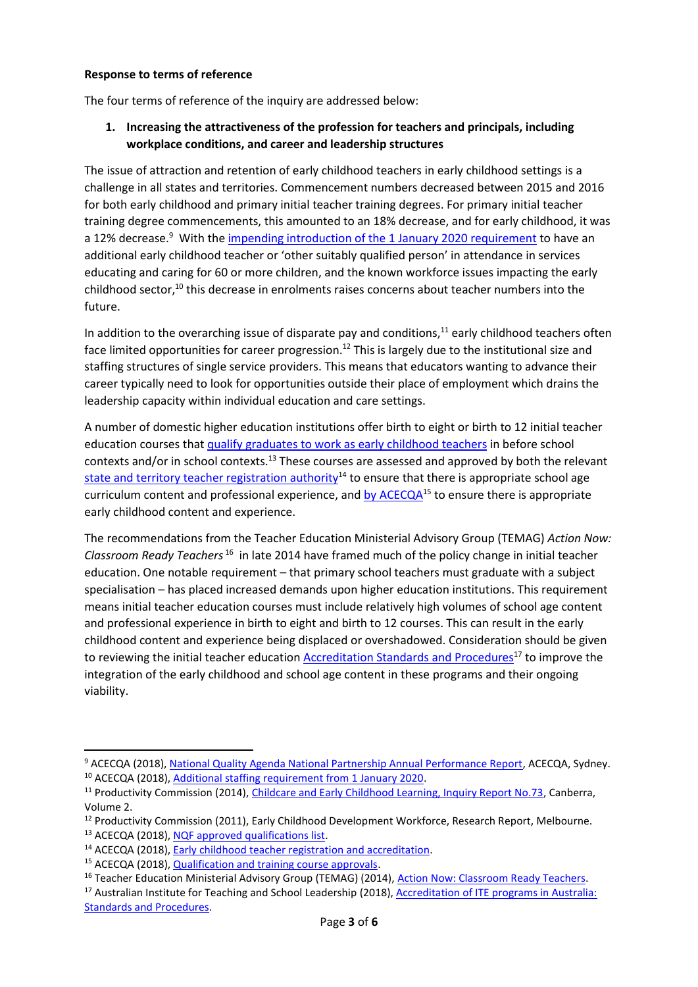#### **Response to terms of reference**

The four terms of reference of the inquiry are addressed below:

## **1. Increasing the attractiveness of the profession for teachers and principals, including workplace conditions, and career and leadership structures**

The issue of attraction and retention of early childhood teachers in early childhood settings is a challenge in all states and territories. Commencement numbers decreased between 2015 and 2016 for both early childhood and primary initial teacher training degrees. For primary initial teacher training degree commencements, this amounted to an 18% decrease, and for early childhood, it was a 12% decrease.<sup>9</sup> With th[e impending introduction of the 1 January 2020 requirement](https://www.acecqa.gov.au/qualification-requirements/additional-staffing-requirement-1-january-2020) to have an additional early childhood teacher or 'other suitably qualified person' in attendance in services educating and caring for 60 or more children, and the known workforce issues impacting the early childhood sector, $10$  this decrease in enrolments raises concerns about teacher numbers into the future.

In addition to the overarching issue of disparate pay and conditions, $11$  early childhood teachers often face limited opportunities for career progression.<sup>12</sup> This is largely due to the institutional size and staffing structures of single service providers. This means that educators wanting to advance their career typically need to look for opportunities outside their place of employment which drains the leadership capacity within individual education and care settings.

A number of domestic higher education institutions offer birth to eight or birth to 12 initial teacher education courses that [qualify graduates to work as early childhood teachers](https://www.acecqa.gov.au/qualifications/nqf-approved) in before school contexts and/or in school contexts.<sup>13</sup> These courses are assessed and approved by both the relevant [state and territory teacher registration](https://www.acecqa.gov.au/qualifications/early-childhood-teacher-registration-and-accreditation) authority<sup>14</sup> to ensure that there is appropriate school age curriculum content and professional experience, and [by ACECQA](https://www.acecqa.gov.au/qualifications/assessment/approval)<sup>15</sup> to ensure there is appropriate early childhood content and experience.

The recommendations from the Teacher Education Ministerial Advisory Group (TEMAG) *Action Now: Classroom Ready Teachers* <sup>16</sup> in late 2014 have framed much of the policy change in initial teacher education. One notable requirement – that primary school teachers must graduate with a subject specialisation – has placed increased demands upon higher education institutions. This requirement means initial teacher education courses must include relatively high volumes of school age content and professional experience in birth to eight and birth to 12 courses. This can result in the early childhood content and experience being displaced or overshadowed. Consideration should be given to reviewing the initial teacher educatio[n Accreditation Standards and Procedures](http://www.aitsl.edu.au/deliver-ite-programs/standards-and-procedures)<sup>17</sup> to improve the integration of the early childhood and school age content in these programs and their ongoing viability.

**.** 

<sup>&</sup>lt;sup>9</sup> ACECQA (2018), [National Quality Agenda National Partnership Annual Performance Report,](https://www.acecqa.gov.au/resources/research/apr) ACECQA, Sydney. <sup>10</sup> ACECQA (2018), [Additional staffing requirement from 1 January 2020.](https://www.acecqa.gov.au/qualification-requirements/additional-staffing-requirement-1-january-2020)

<sup>&</sup>lt;sup>11</sup> Productivity Commission (2014), [Childcare and Early Childhood Learning, Inquiry Report No.73,](https://www.pc.gov.au/inquiries/completed/childcare#report) Canberra, Volume 2.

<sup>&</sup>lt;sup>12</sup> Productivity Commission (2011), Early Childhood Development Workforce, Research Report, Melbourne. <sup>13</sup> ACECQA (2018), [NQF approved qualifications list.](https://www.acecqa.gov.au/qualifications/nqf-approved)

<sup>14</sup> ACECQA (2018), [Early childhood teacher registration and accreditation.](https://www.acecqa.gov.au/qualifications/early-childhood-teacher-registration-and-accreditation)

<sup>&</sup>lt;sup>15</sup> ACECQA (2018), [Qualification and training course approvals.](https://www.acecqa.gov.au/qualifications/assessment/approval)

<sup>&</sup>lt;sup>16</sup> Teacher Education Ministerial Advisory Group (TEMAG) (2014), [Action Now: Classroom Ready Teachers.](https://www.aitsl.edu.au/docs/default-source/default-document-library/action_now_classroom_ready_teachers_accessible-(1)da178891b1e86477b58fff00006709da.pdf?sfvrsn=9bffec3c_0)

<sup>&</sup>lt;sup>17</sup> Australian Institute for Teaching and School Leadership (2018), **Accreditation of ITE programs in Australia**: [Standards and Procedures.](http://www.aitsl.edu.au/deliver-ite-programs/standards-and-procedures)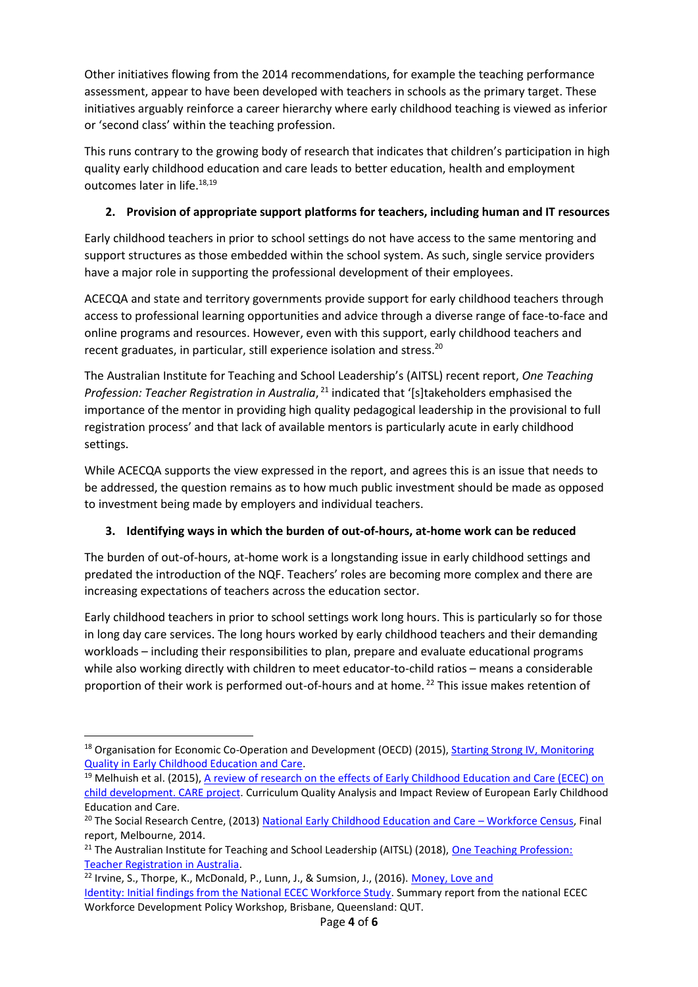Other initiatives flowing from the 2014 recommendations, for example the teaching performance assessment, appear to have been developed with teachers in schools as the primary target. These initiatives arguably reinforce a career hierarchy where early childhood teaching is viewed as inferior or 'second class' within the teaching profession.

This runs contrary to the growing body of research that indicates that children's participation in high quality early childhood education and care leads to better education, health and employment outcomes later in life.<sup>18,19</sup>

# **2. Provision of appropriate support platforms for teachers, including human and IT resources**

Early childhood teachers in prior to school settings do not have access to the same mentoring and support structures as those embedded within the school system. As such, single service providers have a major role in supporting the professional development of their employees.

ACECQA and state and territory governments provide support for early childhood teachers through access to professional learning opportunities and advice through a diverse range of face-to-face and online programs and resources. However, even with this support, early childhood teachers and recent graduates, in particular, still experience isolation and stress.<sup>20</sup>

The Australian Institute for Teaching and School Leadership's (AITSL) recent report, *One Teaching*  Profession: Teacher Registration in Australia, <sup>21</sup> indicated that '[s]takeholders emphasised the importance of the mentor in providing high quality pedagogical leadership in the provisional to full registration process' and that lack of available mentors is particularly acute in early childhood settings.

While ACECQA supports the view expressed in the report, and agrees this is an issue that needs to be addressed, the question remains as to how much public investment should be made as opposed to investment being made by employers and individual teachers.

# **3. Identifying ways in which the burden of out-of-hours, at-home work can be reduced**

The burden of out-of-hours, at-home work is a longstanding issue in early childhood settings and predated the introduction of the NQF. Teachers' roles are becoming more complex and there are increasing expectations of teachers across the education sector.

Early childhood teachers in prior to school settings work long hours. This is particularly so for those in long day care services. The long hours worked by early childhood teachers and their demanding workloads – including their responsibilities to plan, prepare and evaluate educational programs while also working directly with children to meet educator-to-child ratios – means a considerable proportion of their work is performed out-of-hours and at home.<sup>22</sup> This issue makes retention of

<sup>1</sup> <sup>18</sup> Organisation for Economic Co-Operation and Development (OECD) (2015), **Starting Strong IV, Monitoring** [Quality in Early Childhood Education and Care.](http://www.oecd.org/edu/starting-strong-iv-9789264233515-en.htm)

<sup>&</sup>lt;sup>19</sup> Melhuish et al. (2015), A review of research on the effects of Early Childhood Education and Care (ECEC) on [child development. CARE project.](http://ecec-care.org/fileadmin/careproject/Publications/reports/new_version_CARE_WP4_D4_1_Review_on_the_effects_of_ECEC.pdf) Curriculum Quality Analysis and Impact Review of European Early Childhood Education and Care.

<sup>&</sup>lt;sup>20</sup> The Social Research Centre, (2013) [National Early Childhood Education and Care](https://docs.education.gov.au/system/files/doc/other/nwc_national_report_final_0.pdf) - Workforce Census, Final report, Melbourne, 2014.

<sup>&</sup>lt;sup>21</sup> The Australian Institute for Teaching and School Leadership (AITSL) (2018), One Teaching Profession: [Teacher Registration in Australia.](https://www.aitsl.edu.au/docs/default-source/national-review-of-teacher-registration/report/one-teaching-profession---teacher-registration-in-australia.pdf)

<sup>&</sup>lt;sup>22</sup> Irvine, S., Thorpe, K., McDonald, P., Lunn, J., & Sumsion, J., (2016). [Money, Love and](https://eprints.qut.edu.au/101622/1/Brief_report_ECEC_Workforce_Development_Policy_Workshop_final.pdf) [Identity: Initial findings from the National ECEC Workforce Study.](https://eprints.qut.edu.au/101622/1/Brief_report_ECEC_Workforce_Development_Policy_Workshop_final.pdf) Summary report from the national ECEC Workforce Development Policy Workshop, Brisbane, Queensland: QUT.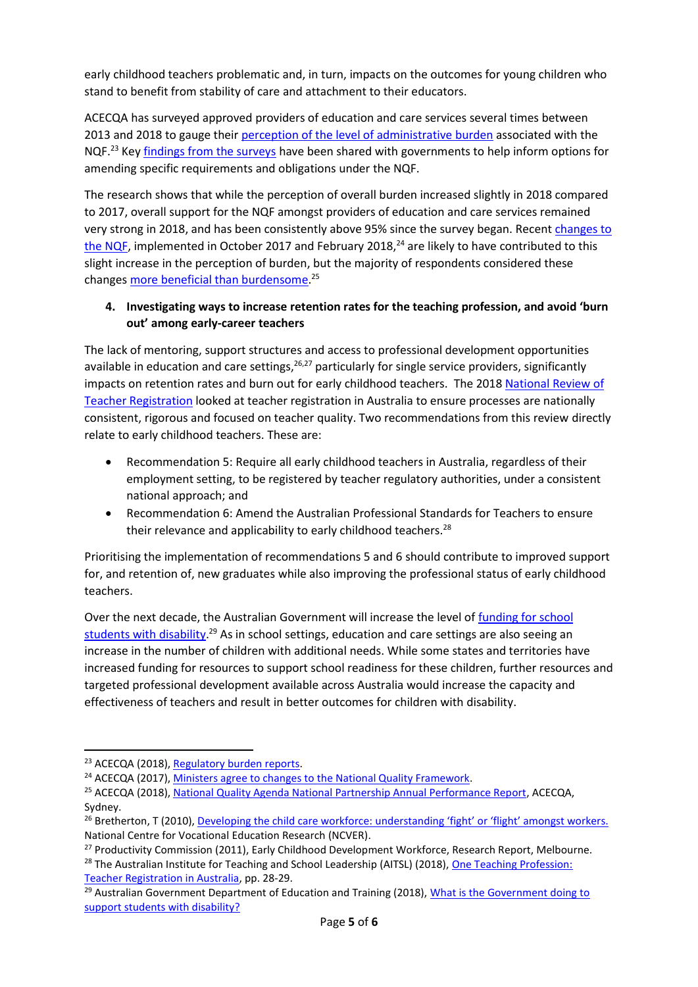early childhood teachers problematic and, in turn, impacts on the outcomes for young children who stand to benefit from stability of care and attachment to their educators.

ACECQA has surveyed approved providers of education and care services several times between 2013 and 2018 to gauge their [perception of the level of administrative burden](https://www.acecqa.gov.au/resources/research#RB) associated with the NQF.<sup>23</sup> Ke[y findings from the surveys](https://www.acecqa.gov.au/apr) have been shared with governments to help inform options for amending specific requirements and obligations under the NQF.

The research shows that while the perception of overall burden increased slightly in 2018 compared to 2017, overall support for the NQF amongst providers of education and care services remained very strong in 2018, and has been consistently above 95% since the survey began. Recen[t changes to](https://www.acecqa.gov.au/ministers-agree-changes-national-quality-framework)  [the NQF,](https://www.acecqa.gov.au/ministers-agree-changes-national-quality-framework) implemented in October 2017 and February 2018,<sup>24</sup> are likely to have contributed to this slight increase in the perception of burden, but the majority of respondents considered these changes [more beneficial than burdensome.](https://www.acecqa.gov.au/resources/research/apr)<sup>25</sup>

## **4. Investigating ways to increase retention rates for the teaching profession, and avoid 'burn out' among early-career teachers**

The lack of mentoring, support structures and access to professional development opportunities available in education and care settings,<sup>26,27</sup> particularly for single service providers, significantly impacts on retention rates and burn out for early childhood teachers. The 2018 [National Review of](http://www.aitsl.edu.au/teach/national-review-of-teacher-registration)  [Teacher Registration](http://www.aitsl.edu.au/teach/national-review-of-teacher-registration) looked at teacher registration in Australia to ensure processes are nationally consistent, rigorous and focused on teacher quality. Two recommendations from this review directly relate to early childhood teachers. These are:

- Recommendation 5: Require all early childhood teachers in Australia, regardless of their employment setting, to be registered by teacher regulatory authorities, under a consistent national approach; and
- Recommendation 6: Amend the Australian Professional Standards for Teachers to ensure their relevance and applicability to early childhood teachers. $^{28}$

Prioritising the implementation of recommendations 5 and 6 should contribute to improved support for, and retention of, new graduates while also improving the professional status of early childhood teachers.

Over the next decade, the Australian Government will increase the level of funding for school [students with disability.](http://www.education.gov.au/what-government-doing-support-students-disability)<sup>29</sup> As in school settings, education and care settings are also seeing an increase in the number of children with additional needs. While some states and territories have increased funding for resources to support school readiness for these children, further resources and targeted professional development available across Australia would increase the capacity and effectiveness of teachers and result in better outcomes for children with disability.

**.** 

<sup>&</sup>lt;sup>23</sup> ACECQA (2018), [Regulatory burden reports.](https://www.acecqa.gov.au/resources/research#RB)

<sup>&</sup>lt;sup>24</sup> ACECQA (2017), [Ministers agree to changes to the National Quality Framework.](https://www.acecqa.gov.au/ministers-agree-changes-national-quality-framework)

<sup>25</sup> ACECQA (2018), [National Quality Agenda National Partnership Annual Performance Report,](https://www.acecqa.gov.au/resources/research/apr) ACECQA, Sydney.

<sup>&</sup>lt;sup>26</sup> Bretherton, T (2010), Developing the child [care workforce: understanding 'fight' or 'flight' amongst workers.](https://www.ncver.edu.au/__data/assets/file/0019/2872/2261.pdf) National Centre for Vocational Education Research (NCVER).

<sup>&</sup>lt;sup>27</sup> Productivity Commission (2011), Early Childhood Development Workforce, Research Report, Melbourne.

<sup>&</sup>lt;sup>28</sup> The Australian Institute for Teaching and School Leadership (AITSL) (2018), One Teaching Profession: [Teacher Registration in Australia,](https://www.aitsl.edu.au/docs/default-source/national-review-of-teacher-registration/report/one-teaching-profession---teacher-registration-in-australia.pdf) pp. 28-29.

<sup>&</sup>lt;sup>29</sup> Australian Government Department of Education and Training (2018), What is the Government doing to [support students with disability?](https://www.education.gov.au/what-government-doing-support-students-disability)